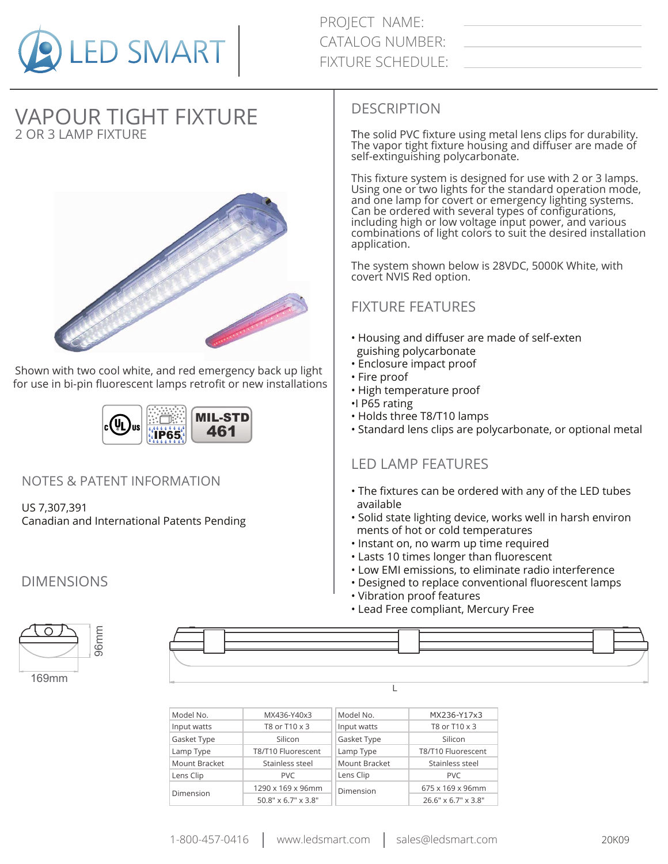

PROJECT NAME: CATALOG NUMBER: FIXTURE SCHEDULE:

# 2 OR 3 LAMP FIXTURE VAPOUR TIGHT FIXTURE



Shown with two cool white, and red emergency back up light for use in bi-pin fluorescent lamps retrofit or new installations



#### NOTES & PATENT INFORMATION

US 7,307,391 Canadian and International Patents Pending

## DIMENSIONS

#### DESCRIPTION

The solid PVC fixture using metal lens clips for durability. The vapor tight fixture housing and diffuser are made of self-extinguishing polycarbonate.

This fixture system is designed for use with 2 or 3 lamps. Using one or two lights for the standard operation mode, and one lamp for covert or emergency lighting systems. Can be ordered with several types of configurations, including high or low voltage input power, and various combinations of light colors to suit the desired installation application.

The system shown below is 28VDC, 5000K White, with covert NVIS Red option.

## FIXTURE FEATURES

- Housing and diffuser are made of self-exten guishing polycarbonate
- Enclosure impact proof
- Fire proof
- High temperature proof
- •I P65 rating
- Holds three T8/T10 lamps
- Standard lens clips are polycarbonate, or optional metal

## LED LAMP FEATURES

- The fixtures can be ordered with any of the LED tubes available
- Solid state lighting device, works well in harsh environ ments of hot or cold temperatures
- Instant on, no warm up time required
- Lasts 10 times longer than fluorescent
- Low EMI emissions, to eliminate radio interference
- Designed to replace conventional fluorescent lamps
- Vibration proof features
- Lead Free compliant, Mercury Free



| Model No.     | MX436-Y40x3         | Model No.     | MX236-Y17x3         |  |
|---------------|---------------------|---------------|---------------------|--|
| Input watts   | T8 or T10 x 3       | Input watts   | T8 or T10 x 3       |  |
| Gasket Type   | Silicon             | Gasket Type   | Silicon             |  |
| Lamp Type     | T8/T10 Fluorescent  | Lamp Type     | T8/T10 Fluorescent  |  |
| Mount Bracket | Stainless steel     | Mount Bracket | Stainless steel     |  |
| Lens Clip     | PVC.                | Lens Clip     | <b>PVC</b>          |  |
|               | 1290 x 169 x 96mm   | Dimension     | 675 x 169 x 96mm    |  |
| Dimension     | 50.8" x 6.7" x 3.8" |               | 26.6" x 6.7" x 3.8" |  |